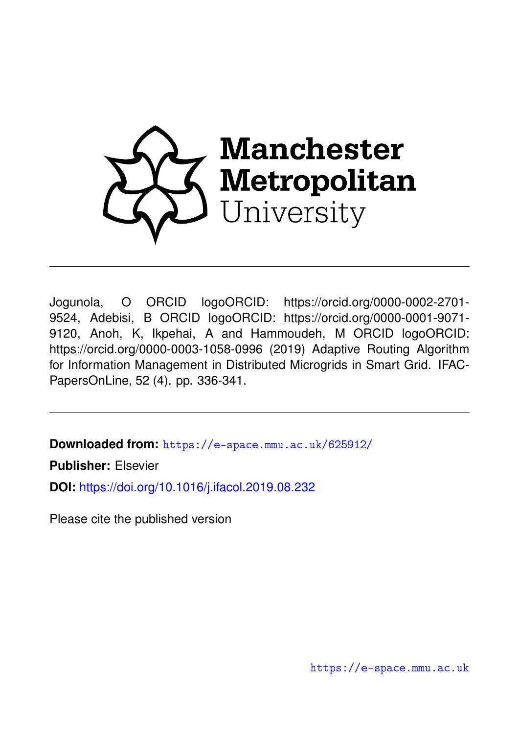

Jogunola, O ORCID logoORCID: https://orcid.org/0000-0002-2701- 9524, Adebisi, B ORCID logoORCID: https://orcid.org/0000-0001-9071- 9120, Anoh, K, Ikpehai, A and Hammoudeh, M ORCID logoORCID: https://orcid.org/0000-0003-1058-0996 (2019) Adaptive Routing Algorithm for Information Management in Distributed Microgrids in Smart Grid. IFAC-PapersOnLine, 52 (4). pp. 336-341.

**Downloaded from:** <https://e-space.mmu.ac.uk/625912/>

**Publisher:** Elsevier

**DOI:** <https://doi.org/10.1016/j.ifacol.2019.08.232>

Please cite the published version

<https://e-space.mmu.ac.uk>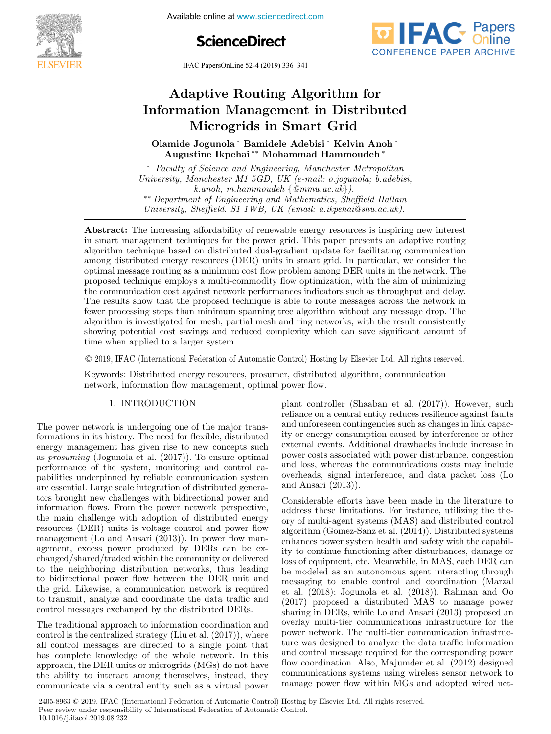

**Control of Smart Grid and Renewable Systems**<br> **Control of Systems** Systems and Renewable Energy Systems and Renewable Energy Systems and Renewable Energy Systems





IFAC PapersOnLine 52-4 (2019) 336–341

#### $A_{\rm{max}}$  and  $A_{\rm{max}}$  are  $A_{\rm{max}}$  and  $A_{\rm{max}}$ Adaptive Routing Algorithm for ation Management in Dist Adaptive Routing Algorithm for Adaptive Routing Algorithm for<br>Information Management in Distributed ation management in Dist Olamide Jogunola ∗ Bamidele Adebisi ∗ Kelvin Anoh ∗ Adaptive Routing Algorithm for Microgrids in Smart Grid Microgrids in Smart Grid

0lamide Jogunola<sup>\*</sup> Bamidele Adebisi<sup>\*</sup> Kelvin Anoh<sup>\*</sup> Augustine Ikpehai ∗∗ Mohammad Hammoudeh ∗ Augustine Ikpehai ∗∗ Mohammad Hammoudeh ∗ Augustine Ikpehai ∗∗ Mohammad Hammoudeh ∗ Olamide Jogunola ∗ Bamidele Adebisi ∗ Kelvin Anoh ∗ ∗∗ ∗ Olamide Jogunola ∗ Bamidele Adebisi ∗ Kelvin Anoh ∗ Augustine Ikpehai ∗∗ Mohammad Hammoudeh ∗

∗ Faculty of Science and Engineering, Manchester Metropolitan ∗ Faculty of Science and Engineering, Manchester Metropolitan ∗ Faculty of Science and Engineering, Manchester Metropolitan University, Manchester M1 5GD, UK (e-mail: o.jogunola; b.adebisi, k.anoh, m.hammoudeh {@mmu.ac.uk}).<br>•\* Department of Engineering and Mathematics, Sheffield Hallam<br>Iniversity, Sheffield, St.1WB, IIK (email: a ikpehai@eby ac.yk) University, Sheffield. S1 1WB, UK (email: a.ikpehai@shu.ac.uk). University, Sheffield. S1 1WB, UK (email: a.ikpehai@shu.ac.uk). University, Manchester M1 5GD, UK (C mail: o.jogunola, b.adebisi,<br>k angh m hammoudeh {@mmu ac uk}) k.anoh, m.hammoudeh {@mmu.ac.uk}).<br>k.anoh, m.hammoudeh {@mmu.ac.uk}).<br>Thinersity Sheffield S1 1WB IIK (email: a ikpehai@shy.ac.uk) Department of Engineering and Mathematics, Sheffield Hallam<br>University, Sheffield. S1 1WB, UK (email: a.ikpehai@shu.ac.uk).

in smart management techniques for the power grid. This paper presents an adaptive routing **Abstract.** The increasing anothermy of renewable energy resources is inspiring new interest<br>in smart management techniques for the power grid. This paper presents an adaptive routing<br>algorithm technique based on distribut among distributed energy resources (DER) units in smart grid. In particular, we consider the optimal message routing as a minimum cost flow problem among DER units in the network. The optimal message routing as a minimum cost flow problem among DER units in the network. The<br>proposed technique employs a multi-commodity flow optimization, with the aim of minimizing proposed technique employs a multi-commodity now optimization, with the ann of minimizing<br>the communication cost against network performances indicators such as throughput and delay. The results show that the proposed technique is able to route messages across the network in The results show that the proposed technique is able to route messages across the network in algorithm is investigated for mesh, partial mesh and ring networks, with the result consistently algorithm is investigated for mesh, partial mesh and ring networks, with the result consistent spanner of  $\alpha$ showing potential cost savings and reduced complexity which can save significant amount of time when applied to a larger system. Abstract: The increasing affordability of renewable energy resources is inspiring new interest  $U_1$  1 1  $\ldots$  3 1 1 1  $\ldots$  a.i.e. uk).

© 2019, IFAC (International Federation of Automatic Control) Hosting by Elsevier Ltd. All rights reserved. Keywords: Distributed energy resources, prosumer, distributed algorithm, communication  $\odot$  2019, IFAC (International Federation of  $\mathbf{S}$  showing and reduced complexity which can saving significant amount of  $\mathbf{S}$ 

Keywords: Distributed energy resources, prosumer, distributed algorithm, communication network, information flow management, optimal power flow. network, information flow management, optimal power flow.

#### 1. INTRODUCTION 1. INTRODUCTION 1. INTRODUCTION 1. INTRODUCTION 1. INTRODUCTION

The power network is undergoing one of the major trans-The power network is undergoing one of the major trans-The power network is undergoing one of the major transformations in its history. The need for flexible, distributed connations in its mstory. The need to hexible, distributed<br>energy management has given rise to new concepts such<br>energy mains (Lemma) at al.  $(2017)$ ). To eximal energy management has given rise to new concepts such as *prosuming* (Jogunola et al. (2017)). To ensure optimal performance of the system, monitoring and control caperformance of the system, momentum and control capabilities underpinned by reliable communication system pablices underplined by Tenable communication system are essential. Large scale integration of distributed genera-<br>tors brought new challenges with bidirectional power and information flows. From the power network perspective, the main challenge with adoption of distributed energy resources (DER) units is voltage control and power flow management (Lo and Ansari (2013)). In power flow management (Lo and Ansari (2013)). In power flow management, excess power produced by DERs can be exchanged/shared/traded within the community or delivered to the neighboring distribution networks, thus leading to the heighboring distribution hetworks, thus leading the grid. Likewise, a communication network is required the grid. Likewise, a communication network is required<br>to transmit, analyze and coordinate the data traffic and control messages exchanged by the distributed DERs. to transmit, analyze and coordinate the data traffic and changed/shared/traded within the community or delivered<br>to the neighboring distribution networks, thus leading<br>to bidirectional power flow between the DER unit and<br>the grid. Likewise, a communication network is required<br>t control messages exchanged by the distributed DERs. control messages exchanged by the distributed DERs. to transmit, analyze and coordinate the data traffic and control messages exchanged by the distributed DERs.

The traditional approach to information coordination and<br>control is the centralized strategy (Liu et al. (2017)), where control is the centralized strategy (Ent et al. (2011)), where<br>all control messages are directed to a single point that an control messages are unected to a single point that<br>has complete knowledge of the whole network. In this has complete knowledge of the whole hetwork. In this the ability to interact among themselves, instead, they communicate via a central entity such as a virtual power the ability to interact among themselves, instead, they communicate via a central entity such as a virtual power communicate via a central entity such as a virtual power plant controller (Shaaban et al. (2017)). However, such plant controller (Shaaban et al. (2017)). However, such plant controller (bilaaball et al. (2017)). However, such<br>reliance on a central entity reduces resilience against faults plant controller (Shaaban et al. (2017)). However, such<br>reliance on a central entity reduces resilience against faults<br>and unforeseen contingencies such as changes in link capacand unbeseen contingencies such as changes in finit capacity or energy consumption caused by interference or other external events. Additional drawbacks include increase in External events. Additional drawbacks include increase in<br>power costs associated with power disturbance, congestion<br>power local local with power disturbance, congestion power costs associated with power distributies, congestion<br>and loss, whereas the communications costs may include and loss, whereas the communications costs may include overheads, signal interference, and data packet loss (Lo and Ansari (2013)). and Ansari (2013)). and Ansari (2013)). overheads, signal interference, and data packet loss (Lo our loss, whereas the communications costs may include<br>overheads, signal interference, and data packet loss (Lo and Ansari  $(2013)$ .

Considerable efforts have been made in the literature to considerable enotes have been made in the interactive to address these initiations. For instance, utilizing the the-<br>ory of multi-agent systems (MAS) and distributed control ory of muti-agent systems (MAS) and distributed control<br>algorithm (Gomez-Sanz et al. (2014)). Distributed systems et al. (2014)). Distributed systems<br>thances power system health and safety with the capabilemiances power system nearch and safety with the capabil-<br>ity to continue functioning after disturbances, damage or ty to comme functioning after distributes, damage of<br>loss of equipment, etc. Meanwhile, in MAS, each DER can boss of equipment, etc. Meanwhile, in MAS, each DER can<br>be modeled as an autonomous agent interacting through<br>moscoging to empha control and coordination (Marzal be modered as an autonomous agent interacting tinough et al. (2018); Jogunola et al. (2018)). Rahman and Oo (2017) proposed a distributed MAS to manage power (2011) proposed a distributed MAS to manage power<br>sharing in DERs, while Lo and Ansari (2013) proposed an<br>overlay multi-tier communications infrastructure for the<br>power network. The multi-tier communication infrastrucoverlay multi-tier communications infrastructure for the byenay multi-tier communications infrastructure for the ture was designed to analyze the data traffic information and control message required for the corresponding power flow coordination. Also, Majumder et al. (2012) designed communication. Also, Majunder et al. (2012) designed<br>communications systems using wireless sensor network to manage power flow within MGs and adopted wired net-communications systems using wireless sensor network to manage power flow within MGs and adopted wired netture was designed to analyze the data traffic information<br>and control message required for the corresponding power<br>flow coordination. Also, Majumder et al. (2012) designed<br>communications systems using wireless sensor netwo manage power flow within MGs and adopted wired net-

2405-8963 © 2019, IFAC (International Federation of Automatic Control) Hosting by Elsevier Ltd. All rights reserved. Peer review under responsibility of International Federation of Automatic Control.<br>
10.1016/ $\frac{1}{2}$  is seed 2010.08.222 10.1016/j.ifacol.2019.08.232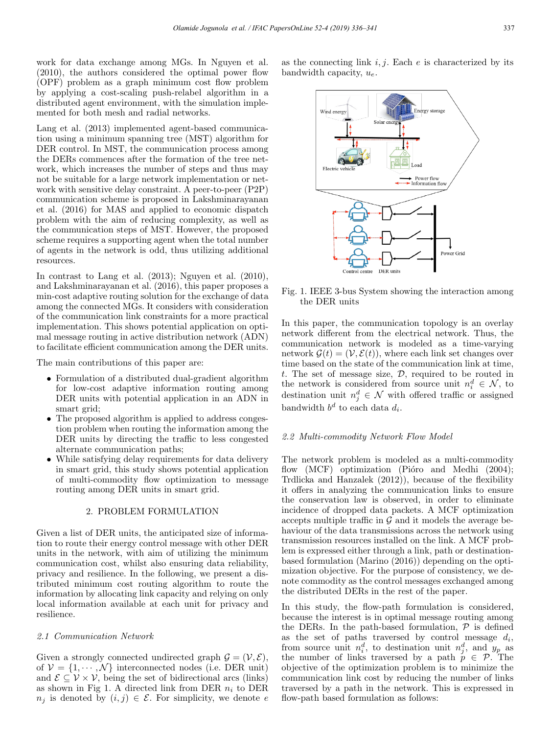work for data exchange among MGs. In Nguyen et al. (2010), the authors considered the optimal power flow (OPF) problem as a graph minimum cost flow problem by applying a cost-scaling push-relabel algorithm in a distributed agent environment, with the simulation implemented for both mesh and radial networks.

Lang et al. (2013) implemented agent-based communication using a minimum spanning tree (MST) algorithm for DER control. In MST, the communication process among the DERs commences after the formation of the tree network, which increases the number of steps and thus may not be suitable for a large network implementation or network with sensitive delay constraint. A peer-to-peer (P2P) communication scheme is proposed in Lakshminarayanan et al. (2016) for MAS and applied to economic dispatch problem with the aim of reducing complexity, as well as the communication steps of MST. However, the proposed scheme requires a supporting agent when the total number of agents in the network is odd, thus utilizing additional resources.

In contrast to Lang et al. (2013); Nguyen et al. (2010), and Lakshminarayanan et al. (2016), this paper proposes a min-cost adaptive routing solution for the exchange of data among the connected MGs. It considers with consideration of the communication link constraints for a more practical implementation. This shows potential application on optimal message routing in active distribution network (ADN) to facilitate efficient communication among the DER units.

The main contributions of this paper are:

- Formulation of a distributed dual-gradient algorithm for low-cost adaptive information routing among DER units with potential application in an ADN in smart grid;
- The proposed algorithm is applied to address congestion problem when routing the information among the DER units by directing the traffic to less congested alternate communication paths;
- While satisfying delay requirements for data delivery in smart grid, this study shows potential application of multi-commodity flow optimization to message routing among DER units in smart grid.

## 2. PROBLEM FORMULATION

Given a list of DER units, the anticipated size of information to route their energy control message with other DER units in the network, with aim of utilizing the minimum communication cost, whilst also ensuring data reliability, privacy and resilience. In the following, we present a distributed minimum cost routing algorithm to route the information by allocating link capacity and relying on only local information available at each unit for privacy and resilience.

## 2.1 Communication Network

Given a strongly connected undirected graph  $\mathcal{G} = (\mathcal{V}, \mathcal{E}),$ of  $V = \{1, \dots, N\}$  interconnected nodes (i.e. DER unit) and  $\mathcal{E} \subseteq \mathcal{V} \times \mathcal{V}$ , being the set of bidirectional arcs (links) as shown in Fig 1. A directed link from DER  $n_i$  to DER  $n_i$  is denoted by  $(i, j) \in \mathcal{E}$ . For simplicity, we denote e

as the connecting link  $i, j$ . Each  $e$  is characterized by its bandwidth capacity,  $u_e$ .



Fig. 1. IEEE 3-bus System showing the interaction among the DER units

In this paper, the communication topology is an overlay network different from the electrical network. Thus, the communication network is modeled as a time-varying network  $\mathcal{G}(t)=(\mathcal{V}, \mathcal{E}(t))$ , where each link set changes over time based on the state of the communication link at time, t. The set of message size,  $D$ , required to be routed in the network is considered from source unit  $n_i^d \in \mathcal{N}$ , to destination unit  $n_j^d \in \mathcal{N}$  with offered traffic or assigned bandwidth  $b^d$  to each data  $d_i$ .

#### 2.2 Multi-commodity Network Flow Model

The network problem is modeled as a multi-commodity flow  $(MCF)$  optimization (Pióro and Medhi  $(2004)$ ; Trdlicka and Hanzalek (2012)), because of the flexibility it offers in analyzing the communication links to ensure the conservation law is observed, in order to eliminate incidence of dropped data packets. A MCF optimization accepts multiple traffic in  $\mathcal G$  and it models the average behaviour of the data transmissions across the network using transmission resources installed on the link. A MCF problem is expressed either through a link, path or destinationbased formulation (Marino (2016)) depending on the optimization objective. For the purpose of consistency, we denote commodity as the control messages exchanged among the distributed DERs in the rest of the paper.

In this study, the flow-path formulation is considered, because the interest is in optimal message routing among the DERs. In the path-based formulation,  $P$  is defined as the set of paths traversed by control message  $d_i$ , from source unit  $n_i^d$ , to destination unit  $n_j^d$ , and  $y_p$  as the number of links traversed by a path  $p \in \mathcal{P}$ . The objective of the optimization problem is to minimize the communication link cost by reducing the number of links traversed by a path in the network. This is expressed in flow-path based formulation as follows: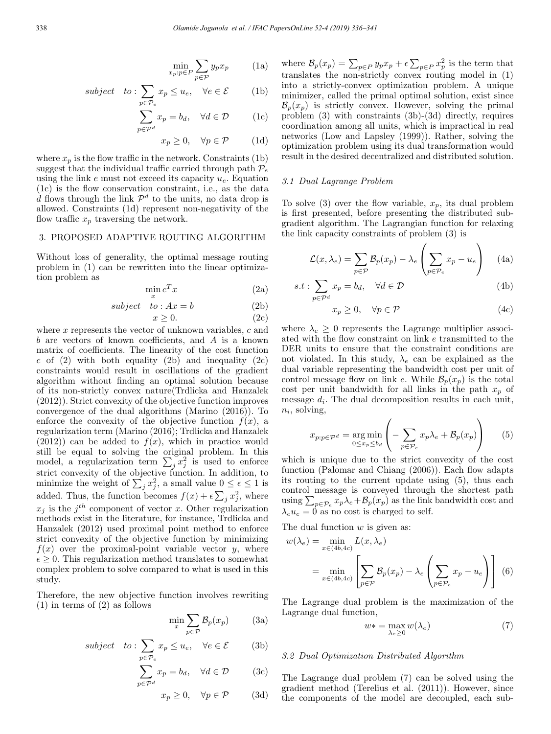$$
\min_{x_p: p \in P} \sum_{p \in \mathcal{P}} y_p x_p \qquad (1a)
$$

subject to: 
$$
\sum_{p \in \mathcal{P}_e} x_p \le u_e, \quad \forall e \in \mathcal{E}
$$
 (1b)

$$
\sum_{p \in \mathcal{P}^d} x_p = b_d, \quad \forall d \in \mathcal{D} \tag{1c}
$$

 $x_p \geq 0$ ,  $\forall p \in \mathcal{P}$  (1d)

where  $x_p$  is the flow traffic in the network. Constraints (1b) suggest that the individual traffic carried through path  $\mathcal{P}_e$ using the link  $e$  must not exceed its capacity  $u_e$ . Equation (1c) is the flow conservation constraint, i.e., as the data d flows through the link  $\mathcal{P}^d$  to the units, no data drop is allowed. Constraints (1d) represent non-negativity of the flow traffic  $x_p$  traversing the network.

#### 3. PROPOSED ADAPTIVE ROUTING ALGORITHM

Without loss of generality, the optimal message routing problem in (1) can be rewritten into the linear optimization problem as

$$
\min_{x} c^{T} x \tag{2a}
$$

subject to :  $Ax = b$  (2b)

$$
x \ge 0. \tag{2c}
$$

where  $x$  represents the vector of unknown variables,  $c$  and b are vectors of known coefficients, and A is a known matrix of coefficients. The linearity of the cost function  $c$  of (2) with both equality (2b) and inequality (2c) constraints would result in oscillations of the gradient algorithm without finding an optimal solution because of its non-strictly convex nature(Trdlicka and Hanzalek (2012)). Strict convexity of the objective function improves convergence of the dual algorithms (Marino (2016)). To enforce the convexity of the objective function  $f(x)$ , a regularization term (Marino (2016); Trdlicka and Hanzalek  $(2012)$  can be added to  $f(x)$ , which in practice would still be equal to solving the original problem. In this model, a regularization term  $\sum_j x_j^2$  is used to enforce strict convexity of the objective function. In addition, to minimize the weight of  $\sum_{j} x_j^2$ , a small value  $0 \le \epsilon \le 1$  is added. Thus, the function becomes  $f(x) + \epsilon \sum_j x_j^2$ , where  $x_j$  is the  $j^{th}$  component of vector x. Other regularization methods exist in the literature, for instance, Trdlicka and Hanzalek (2012) used proximal point method to enforce strict convexity of the objective function by minimizing  $f(x)$  over the proximal-point variable vector y, where  $\epsilon \geq 0$ . This regularization method translates to somewhat complex problem to solve compared to what is used in this study.

Therefore, the new objective function involves rewriting (1) in terms of (2) as follows

$$
\min_{x} \sum_{p \in \mathcal{P}} \mathcal{B}_p(x_p) \tag{3a}
$$

subject to: 
$$
\sum_{p \in \mathcal{P}_e} x_p \le u_e, \quad \forall e \in \mathcal{E}
$$
 (3b)

$$
\sum_{p \in \mathcal{P}^d} x_p = b_d, \quad \forall d \in \mathcal{D} \tag{3c}
$$

$$
x_p \ge 0, \quad \forall p \in \mathcal{P} \tag{3d}
$$

where  $\mathcal{B}_p(x_p) = \sum_{p \in P} y_p x_p + \epsilon \sum_{p \in P} x_p^2$  is the term that translates the non-strictly convex routing model in (1) into a strictly-convex optimization problem. A unique minimizer, called the primal optimal solution, exist since  $\mathcal{B}_{p}(x_{p})$  is strictly convex. However, solving the primal problem (3) with constraints (3b)-(3d) directly, requires coordination among all units, which is impractical in real networks (Low and Lapsley (1999)). Rather, solving the optimization problem using its dual transformation would result in the desired decentralized and distributed solution.

## 3.1 Dual Lagrange Problem

To solve (3) over the flow variable,  $x_p$ , its dual problem is first presented, before presenting the distributed subgradient algorithm. The Lagrangian function for relaxing the link capacity constraints of problem (3) is

$$
\mathcal{L}(x,\lambda_e) = \sum_{p \in \mathcal{P}} \mathcal{B}_p(x_p) - \lambda_e \left( \sum_{p \in \mathcal{P}_e} x_p - u_e \right) \tag{4a}
$$

$$
s.t: \sum_{p \in \mathcal{P}^d} x_p = b_d, \quad \forall d \in \mathcal{D}
$$
 (4b)

$$
x_p \ge 0, \quad \forall p \in \mathcal{P} \tag{4c}
$$

where  $\lambda_e \geq 0$  represents the Lagrange multiplier associated with the flow constraint on link e transmitted to the DER units to ensure that the constraint conditions are not violated. In this study,  $\lambda_e$  can be explained as the dual variable representing the bandwidth cost per unit of control message flow on link e. While  $\mathcal{B}_p(x_p)$  is the total cost per unit bandwidth for all links in the path  $x_p$  of message  $d_i$ . The dual decomposition results in each unit,  $n_i$ , solving,

$$
x_{p:p\in\mathcal{P}^d} = \underset{0 \le x_p \le b_d}{\arg \min} \left( -\sum_{p \in \mathcal{P}_e} x_p \lambda_e + \mathcal{B}_p(x_p) \right) \tag{5}
$$

which is unique due to the strict convexity of the cost function (Palomar and Chiang (2006)). Each flow adapts its routing to the current update using (5), thus each control message is conveyed through the shortest path using  $\sum_{p \in \mathcal{P}_e} x_p \lambda_e + \mathcal{B}_p(x_p)$  as the link bandwidth cost and  $\lambda_e u_e = 0$  as no cost is charged to self.

The dual function  $w$  is given as:

$$
w(\lambda_e) = \min_{x \in (4b, 4c)} L(x, \lambda_e)
$$
  
= 
$$
\min_{x \in (4b, 4c)} \left[ \sum_{p \in \mathcal{P}} \mathcal{B}_p(x_p) - \lambda_e \left( \sum_{p \in \mathcal{P}_e} x_p - u_e \right) \right]
$$
(6)

The Lagrange dual problem is the maximization of the Lagrange dual function,

$$
w* = \max_{\lambda_e \ge 0} w(\lambda_e)
$$
 (7)

## 3.2 Dual Optimization Distributed Algorithm

The Lagrange dual problem (7) can be solved using the gradient method (Terelius et al. (2011)). However, since the components of the model are decoupled, each sub-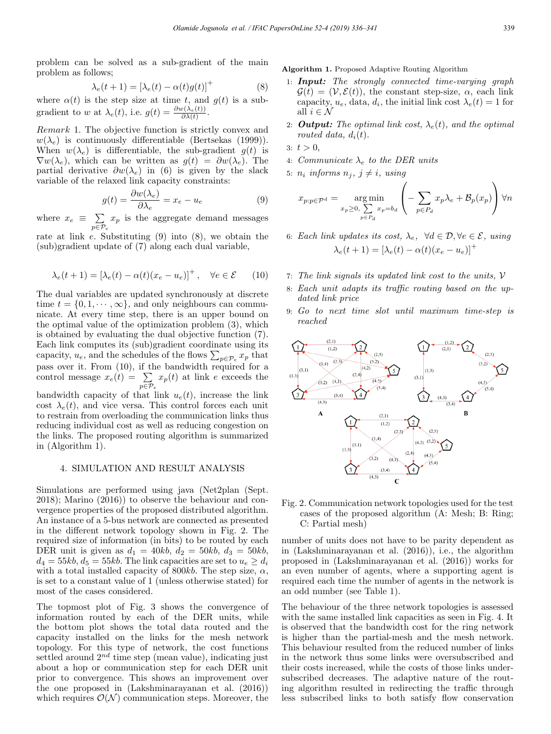problem can be solved as a sub-gradient of the main problem as follows;

$$
\lambda_e(t+1) = \left[\lambda_e(t) - \alpha(t)g(t)\right]^+\tag{8}
$$

where  $\alpha(t)$  is the step size at time t, and  $g(t)$  is a subgradient to w at  $\lambda_e(t)$ , i.e.  $g(t) = \frac{\partial w(\lambda_e(t))}{\partial \lambda(t)}$ .

Remark 1. The objective function is strictly convex and  $w(\lambda_e)$  is continuously differentiable (Bertsekas (1999)). When  $w(\lambda_e)$  is differentiable, the sub-gradient  $q(t)$  is  $\nabla w(\lambda_e)$ , which can be written as  $g(t) = \partial w(\lambda_e)$ . The partial derivative  $\partial w(\lambda_e)$  in (6) is given by the slack variable of the relaxed link capacity constraints:

$$
g(t) = \frac{\partial w(\lambda_e)}{\partial \lambda_e} = x_e - u_e \tag{9}
$$

where  $x_e \equiv \sum_{p \in \mathcal{P}_e}$  $x_p$  is the aggregate demand messages

rate at link  $e$ . Substituting  $(9)$  into  $(8)$ , we obtain the (sub)gradient update of (7) along each dual variable,

$$
\lambda_e(t+1) = \left[\lambda_e(t) - \alpha(t)(x_e - u_e)\right]^+, \quad \forall e \in \mathcal{E} \tag{10}
$$

The dual variables are updated synchronously at discrete time  $t = \{0, 1, \dots, \infty\}$ , and only neighbours can communicate. At every time step, there is an upper bound on the optimal value of the optimization problem (3), which is obtained by evaluating the dual objective function (7). Each link computes its (sub)gradient coordinate using its capacity,  $u_e$ , and the schedules of the flows  $\sum_{p \in \mathcal{P}_e} x_p$  that pass over it. From (10), if the bandwidth required for a control message  $x_e(t) = \sum$  $_{p\in\mathcal{P}_{e}}$  $x_p(t)$  at link e exceeds the bandwidth capacity of that link  $u_e(t)$ , increase the link cost  $\lambda_e(t)$ , and vice versa. This control forces each unit to restrain from overloading the communication links thus reducing individual cost as well as reducing congestion on the links. The proposed routing algorithm is summarized in (Algorithm 1).

## 4. SIMULATION AND RESULT ANALYSIS

Simulations are performed using java (Net2plan (Sept. 2018); Marino (2016)) to observe the behaviour and convergence properties of the proposed distributed algorithm. An instance of a 5-bus network are connected as presented in the different network topology shown in Fig. 2. The required size of information (in bits) to be routed by each DER unit is given as  $d_1 = 40kb, d_2 = 50kb, d_3 = 50kb,$  $d_4 = 55kb, d_5 = 55kb$ . The link capacities are set to  $u_e \geq d_i$ with a total installed capacity of 800 $kb$ . The step size,  $\alpha$ , is set to a constant value of 1 (unless otherwise stated) for most of the cases considered.

The topmost plot of Fig. 3 shows the convergence of information routed by each of the DER units, while the bottom plot shows the total data routed and the capacity installed on the links for the mesh network topology. For this type of network, the cost functions settled around  $2^{nd}$  time step (mean value), indicating just about a hop or communication step for each DER unit prior to convergence. This shows an improvement over the one proposed in (Lakshminarayanan et al. (2016)) which requires  $\mathcal{O}(\mathcal{N})$  communication steps. Moreover, the Algorithm 1. Proposed Adaptive Routing Algorithm

- 1: Input: The strongly connected time-varying graph  $\mathcal{G}(t)=(\mathcal{V}, \mathcal{E}(t)),$  the constant step-size,  $\alpha$ , each link capacity,  $u_e$ , data,  $d_i$ , the initial link cost  $\lambda_e(t) = 1$  for all  $i \in \mathcal{N}$
- 2: **Output:** The optimal link cost,  $\lambda_e(t)$ , and the optimal routed data,  $d_i(t)$ .

$$
3: t > 0,
$$

- 4: Communicate  $\lambda_e$  to the DER units
- 5:  $n_i$  informs  $n_j$ ,  $j \neq i$ , using

$$
x_{p:p\in\mathcal{P}^d} = \underset{x_p \ge 0, \sum_{p \in P_d} x_p = b_d}{\arg \min} \left( -\sum_{p \in P_d} x_p \lambda_e + \mathcal{B}_p(x_p) \right) \forall n
$$

- 6: Each link updates its cost,  $\lambda_e$ ,  $\forall d \in \mathcal{D}, \forall e \in \mathcal{E}$ , using  $\lambda_e(t+1) = \left[\lambda_e(t) - \alpha(t)(x_e - u_e)\right]^+$
- 7: The link signals its updated link cost to the units,  $V$
- 8: Each unit adapts its traffic routing based on the updated link price
- 9: Go to next time slot until maximum time-step is reached



Fig. 2. Communication network topologies used for the test cases of the proposed algorithm (A: Mesh; B: Ring; C: Partial mesh)

number of units does not have to be parity dependent as in (Lakshminarayanan et al. (2016)), i.e., the algorithm proposed in (Lakshminarayanan et al. (2016)) works for an even number of agents, where a supporting agent is required each time the number of agents in the network is an odd number (see Table 1).

The behaviour of the three network topologies is assessed with the same installed link capacities as seen in Fig. 4. It is observed that the bandwidth cost for the ring network is higher than the partial-mesh and the mesh network. This behaviour resulted from the reduced number of links in the network thus some links were oversubscribed and their costs increased, while the costs of those links undersubscribed decreases. The adaptive nature of the routing algorithm resulted in redirecting the traffic through less subscribed links to both satisfy flow conservation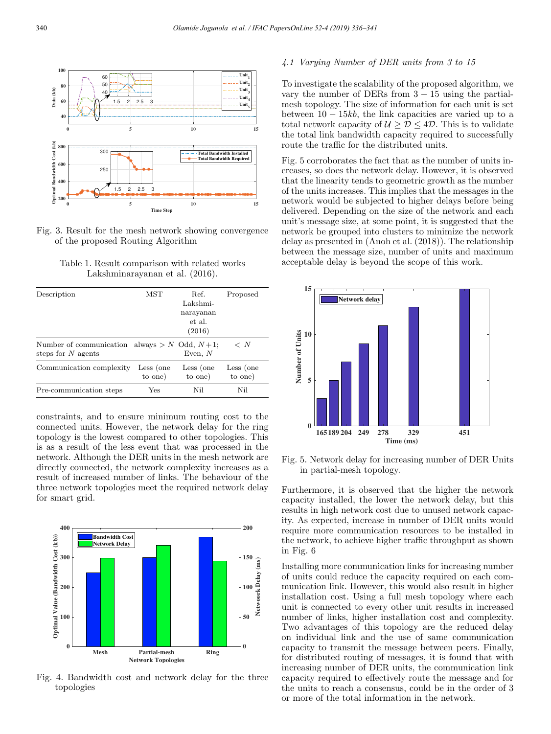

Fig. 3. Result for the mesh network showing convergence of the proposed Routing Algorithm

Table 1. Result comparison with related works Lakshminarayanan et al. (2016).

| Description                                                             | MST                  | Ref.<br>Lakshmi-<br>narayanan<br>et al.<br>(2016) | Proposed             |
|-------------------------------------------------------------------------|----------------------|---------------------------------------------------|----------------------|
| Number of communication always > N Odd, $N+1$ ;<br>steps for $N$ agents |                      | Even, $N$                                         | $\langle N \rangle$  |
| Communication complexity                                                | Less (one<br>to one) | Less (one<br>to one)                              | Less (one<br>to one) |
| Pre-communication steps                                                 | Yes                  | Nil                                               | Nil                  |

constraints, and to ensure minimum routing cost to the connected units. However, the network delay for the ring topology is the lowest compared to other topologies. This is as a result of the less event that was processed in the network. Although the DER units in the mesh network are directly connected, the network complexity increases as a result of increased number of links. The behaviour of the three network topologies meet the required network delay for smart grid.



Fig. 4. Bandwidth cost and network delay for the three topologies

# 4.1 Varying Number of DER units from 3 to 15

To investigate the scalability of the proposed algorithm, we vary the number of DERs from  $3 - 15$  using the partialmesh topology. The size of information for each unit is set between  $10 - 15kb$ , the link capacities are varied up to a total network capacity of  $\mathcal{U} \geq \mathcal{D} \leq 4\mathcal{D}$ . This is to validate the total link bandwidth capacity required to successfully route the traffic for the distributed units.

Fig. 5 corroborates the fact that as the number of units increases, so does the network delay. However, it is observed that the linearity tends to geometric growth as the number of the units increases. This implies that the messages in the network would be subjected to higher delays before being delivered. Depending on the size of the network and each unit's message size, at some point, it is suggested that the network be grouped into clusters to minimize the network delay as presented in (Anoh et al. (2018)). The relationship between the message size, number of units and maximum acceptable delay is beyond the scope of this work.



Fig. 5. Network delay for increasing number of DER Units in partial-mesh topology.

Furthermore, it is observed that the higher the network capacity installed, the lower the network delay, but this results in high network cost due to unused network capacity. As expected, increase in number of DER units would require more communication resources to be installed in the network, to achieve higher traffic throughput as shown in Fig. 6

Installing more communication links for increasing number of units could reduce the capacity required on each communication link. However, this would also result in higher installation cost. Using a full mesh topology where each unit is connected to every other unit results in increased number of links, higher installation cost and complexity. Two advantages of this topology are the reduced delay on individual link and the use of same communication capacity to transmit the message between peers. Finally, for distributed routing of messages, it is found that with increasing number of DER units, the communication link capacity required to effectively route the message and for the units to reach a consensus, could be in the order of 3 or more of the total information in the network.